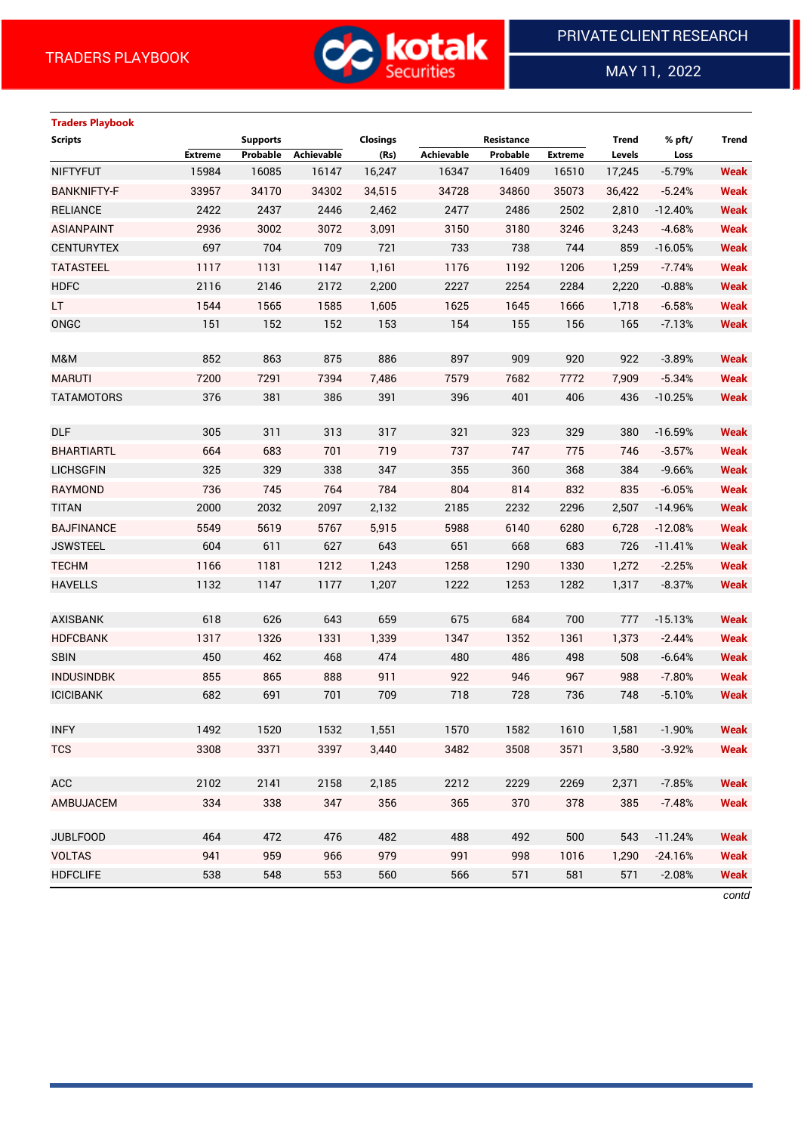

MAY 11, 2022

 $\overline{a}$ 

| <b>Traders Playbook</b> |                |                 |            |                 |                   |            |                |              |           |             |
|-------------------------|----------------|-----------------|------------|-----------------|-------------------|------------|----------------|--------------|-----------|-------------|
| <b>Scripts</b>          |                | <b>Supports</b> |            | <b>Closings</b> |                   | Resistance |                | <b>Trend</b> | % pft/    | Trend       |
|                         | <b>Extreme</b> | Probable        | Achievable | (Rs)            | <b>Achievable</b> | Probable   | <b>Extreme</b> | Levels       | Loss      |             |
| <b>NIFTYFUT</b>         | 15984          | 16085           | 16147      | 16,247          | 16347             | 16409      | 16510          | 17,245       | $-5.79%$  | <b>Weak</b> |
| <b>BANKNIFTY-F</b>      | 33957          | 34170           | 34302      | 34,515          | 34728             | 34860      | 35073          | 36,422       | $-5.24%$  | <b>Weak</b> |
| <b>RELIANCE</b>         | 2422           | 2437            | 2446       | 2,462           | 2477              | 2486       | 2502           | 2,810        | $-12.40%$ | <b>Weak</b> |
| <b>ASIANPAINT</b>       | 2936           | 3002            | 3072       | 3,091           | 3150              | 3180       | 3246           | 3,243        | $-4.68%$  | <b>Weak</b> |
| <b>CENTURYTEX</b>       | 697            | 704             | 709        | 721             | 733               | 738        | 744            | 859          | $-16.05%$ | <b>Weak</b> |
| <b>TATASTEEL</b>        | 1117           | 1131            | 1147       | 1,161           | 1176              | 1192       | 1206           | 1,259        | $-7.74%$  | <b>Weak</b> |
| <b>HDFC</b>             | 2116           | 2146            | 2172       | 2,200           | 2227              | 2254       | 2284           | 2,220        | $-0.88%$  | <b>Weak</b> |
| LT.                     | 1544           | 1565            | 1585       | 1,605           | 1625              | 1645       | 1666           | 1,718        | $-6.58%$  | <b>Weak</b> |
| ONGC                    | 151            | 152             | 152        | 153             | 154               | 155        | 156            | 165          | $-7.13%$  | <b>Weak</b> |
|                         |                |                 |            |                 |                   |            |                |              |           |             |
| M&M                     | 852            | 863             | 875        | 886             | 897               | 909        | 920            | 922          | $-3.89%$  | <b>Weak</b> |
| <b>MARUTI</b>           | 7200           | 7291            | 7394       | 7,486           | 7579              | 7682       | 7772           | 7,909        | $-5.34%$  | <b>Weak</b> |
| <b>TATAMOTORS</b>       | 376            | 381             | 386        | 391             | 396               | 401        | 406            | 436          | $-10.25%$ | <b>Weak</b> |
|                         |                |                 |            |                 |                   |            |                |              |           |             |
| <b>DLF</b>              | 305            | 311             | 313        | 317             | 321               | 323        | 329            | 380          | $-16.59%$ | <b>Weak</b> |
| <b>BHARTIARTL</b>       | 664            | 683             | 701        | 719             | 737               | 747        | 775            | 746          | $-3.57%$  | <b>Weak</b> |
| <b>LICHSGFIN</b>        | 325            | 329             | 338        | 347             | 355               | 360        | 368            | 384          | $-9.66%$  | <b>Weak</b> |
| <b>RAYMOND</b>          | 736            | 745             | 764        | 784             | 804               | 814        | 832            | 835          | $-6.05%$  | <b>Weak</b> |
| <b>TITAN</b>            | 2000           | 2032            | 2097       | 2,132           | 2185              | 2232       | 2296           | 2,507        | $-14.96%$ | <b>Weak</b> |
| <b>BAJFINANCE</b>       | 5549           | 5619            | 5767       | 5,915           | 5988              | 6140       | 6280           | 6,728        | $-12.08%$ | <b>Weak</b> |
| <b>JSWSTEEL</b>         | 604            | 611             | 627        | 643             | 651               | 668        | 683            | 726          | $-11.41%$ | <b>Weak</b> |
| <b>TECHM</b>            | 1166           | 1181            | 1212       | 1,243           | 1258              | 1290       | 1330           | 1,272        | $-2.25%$  | <b>Weak</b> |
| <b>HAVELLS</b>          | 1132           | 1147            | 1177       | 1,207           | 1222              | 1253       | 1282           | 1,317        | $-8.37%$  | <b>Weak</b> |
|                         |                |                 |            |                 |                   |            |                |              |           |             |
| <b>AXISBANK</b>         | 618            | 626             | 643        | 659             | 675               | 684        | 700            | 777          | $-15.13%$ | <b>Weak</b> |
| <b>HDFCBANK</b>         | 1317           | 1326            | 1331       | 1,339           | 1347              | 1352       | 1361           | 1,373        | $-2.44%$  | <b>Weak</b> |
| <b>SBIN</b>             | 450            | 462             | 468        | 474             | 480               | 486        | 498            | 508          | $-6.64%$  | <b>Weak</b> |
| <b>INDUSINDBK</b>       | 855            | 865             | 888        | 911             | 922               | 946        | 967            | 988          | $-7.80%$  | <b>Weak</b> |
| <b>ICICIBANK</b>        | 682            | 691             | 701        | 709             | 718               | 728        | 736            | 748          | $-5.10%$  | <b>Weak</b> |
|                         |                |                 |            |                 |                   |            |                |              |           |             |
| <b>INFY</b>             | 1492           | 1520            | 1532       | 1,551           | 1570              | 1582       | 1610           | 1,581        | $-1.90%$  | <b>Weak</b> |
| <b>TCS</b>              | 3308           | 3371            | 3397       | 3,440           | 3482              | 3508       | 3571           | 3,580        | $-3.92%$  | <b>Weak</b> |
| <b>ACC</b>              | 2102           | 2141            | 2158       | 2,185           | 2212              | 2229       | 2269           | 2,371        | $-7.85%$  | <b>Weak</b> |
|                         |                |                 |            |                 |                   |            |                |              |           |             |
| AMBUJACEM               | 334            | 338             | 347        | 356             | 365               | 370        | 378            | 385          | $-7.48%$  | <b>Weak</b> |
| <b>JUBLFOOD</b>         | 464            | 472             | 476        | 482             | 488               | 492        | 500            | 543          | $-11.24%$ | <b>Weak</b> |
| <b>VOLTAS</b>           | 941            | 959             | 966        | 979             | 991               | 998        | 1016           | 1,290        | $-24.16%$ | <b>Weak</b> |
| <b>HDFCLIFE</b>         | 538            | 548             | 553        | 560             | 566               | 571        | 581            | 571          | $-2.08%$  | <b>Weak</b> |
|                         |                |                 |            |                 |                   |            |                |              |           |             |

*contd*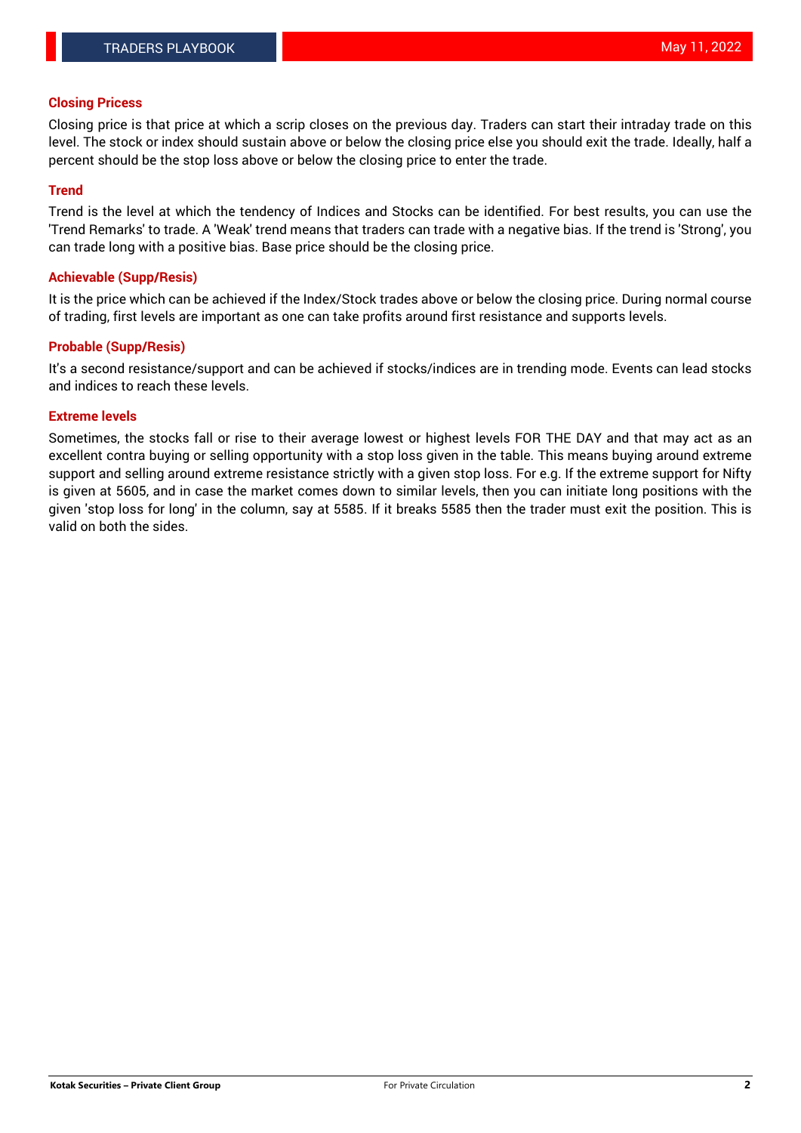### **Closing Pricess**

Closing price is that price at which a scrip closes on the previous day. Traders can start their intraday trade on this level. The stock or index should sustain above or below the closing price else you should exit the trade. Ideally, half a percent should be the stop loss above or below the closing price to enter the trade.

#### **Trend**

Trend is the level at which the tendency of Indices and Stocks can be identified. For best results, you can use the 'Trend Remarks' to trade. A 'Weak' trend means that traders can trade with a negative bias. If the trend is 'Strong', you can trade long with a positive bias. Base price should be the closing price.

#### **Achievable (Supp/Resis)**

It is the price which can be achieved if the Index/Stock trades above or below the closing price. During normal course of trading, first levels are important as one can take profits around first resistance and supports levels.

## **Probable (Supp/Resis)**

It's a second resistance/support and can be achieved if stocks/indices are in trending mode. Events can lead stocks and indices to reach these levels.

## **Extreme levels**

Sometimes, the stocks fall or rise to their average lowest or highest levels FOR THE DAY and that may act as an excellent contra buying or selling opportunity with a stop loss given in the table. This means buying around extreme support and selling around extreme resistance strictly with a given stop loss. For e.g. If the extreme support for Nifty is given at 5605, and in case the market comes down to similar levels, then you can initiate long positions with the given 'stop loss for long' in the column, say at 5585. If it breaks 5585 then the trader must exit the position. This is valid on both the sides.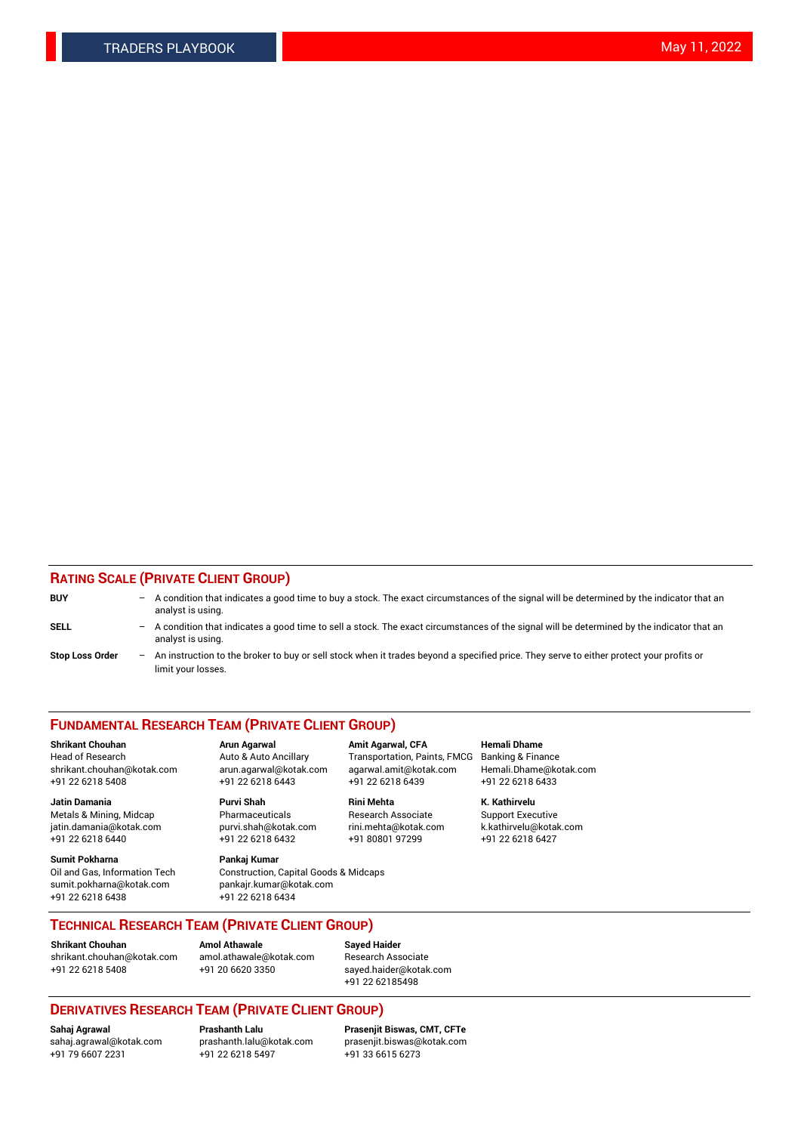# **RATING SCALE (PRIVATE CLIENT GROUP)**

| <b>BUY</b>             | -   | A condition that indicates a good time to buy a stock. The exact circumstances of the signal will be determined by the indicator that an<br>analyst is using.  |
|------------------------|-----|----------------------------------------------------------------------------------------------------------------------------------------------------------------|
| SELL                   | -   | A condition that indicates a good time to sell a stock. The exact circumstances of the signal will be determined by the indicator that an<br>analyst is using. |
| <b>Stop Loss Order</b> | $-$ | An instruction to the broker to buy or sell stock when it trades beyond a specified price. They serve to either protect your profits or<br>limit your losses.  |

#### **FUNDAMENTAL RESEARCH TEAM (PRIVATE CLIENT GROUP)**

**Shrikant Chouhan Arun Agarwal Amit Agarwal, CFA Hemali Dhame** Head of Research Auto & Auto Ancillary Transportation, Paints, FMCG Banking & Finance shrikant.chouhan@kotak.com arun.agarwal@kotak.com agarwal.amit@kotak.com Hemali.Dhame@kotak.com

**Jatin Damania Purvi Shah Rini Mehta K. Kathirvelu** Metals & Mining, Midcap **Pharmaceuticals** Research Associate Support Executive jatin.damania@kotak.com [purvi.shah@kotak.com](mailto:purvi.shah@kotak.com) rini.mehta@kotak.com [k.kathirvelu@kotak.com](mailto:k.kathirvelu@kotak.com)

**Sumit Pokharna Pankaj Kumar** sumit.pokharna@kotak.com pankajr.kumar@kotak.com +91 22 6218 6438 +91 22 6218 6434

 $+91$  22 6218 6432

Oil and Gas, Information Tech Construction, Capital Goods & Midcaps

+91 22 6218 5408 +91 22 6218 6443 +91 22 6218 6439 +91 22 6218 6433

**TECHNICAL RESEARCH TEAM (PRIVATE CLIENT GROUP)**

[shrikant.chouhan@kotak.com](mailto:shrikant.chouhan@kotak.com) [amol.athawale@kotak.com](mailto:amol.athawale@kotak.com) Research Associate +91 22 6218 5408 +91 20 6620 3350 [sayed.haider@kotak.com](mailto:sayed.haider@kotak.com)

**Shrikant Chouhan Amol Athawale Sayed Haider**

+91 22 62185498

# **DERIVATIVES RESEARCH TEAM (PRIVATE CLIENT GROUP)**

 $+91$  22 6218 5497

**Sahaj Agrawal Prashanth Lalu Prasenjit Biswas, CMT, CFTe** [sahaj.agrawal@kotak.com](mailto:sahaj.agrawal@kotak.com) [prashanth.lalu@kotak.com](mailto:prashanth.lalu@kotak.com) [prasenjit.biswas@kotak.com](mailto:prasenjit.biswas@kotak.com)